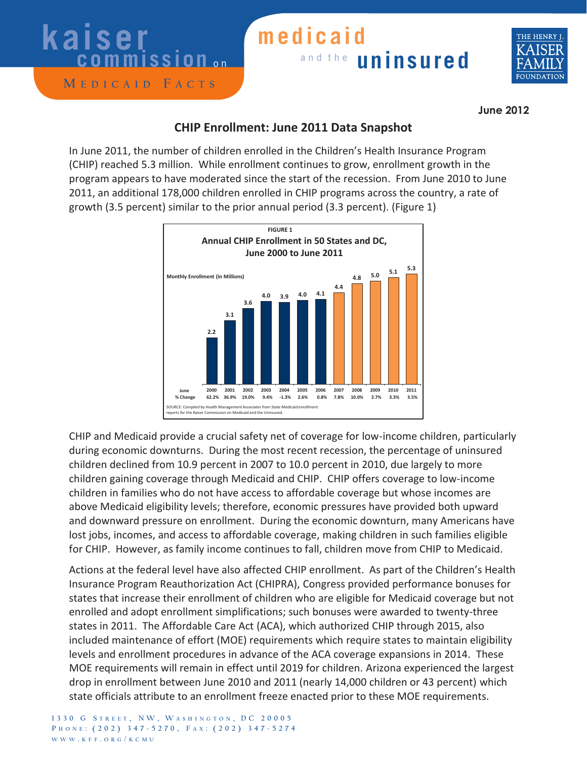### **kaiser**   $\overline{\text{c}}$  ommission

#### **M edicaid F acts**

### and the **uninsured medicaid**



**June 2012**

### **CHIP Enrollment: June 2011 Data Snapshot**

In June 2011, the number of children enrolled in the Children's Health Insurance Program (CHIP) reached 5.3 million. While enrollment continues to grow, enrollment growth in the program appears to have moderated since the start of the recession. From June 2010 to June 2011, an additional 178,000 children enrolled in CHIP programs across the country, a rate of growth (3.5 percent) similar to the prior annual period (3.3 percent). (Figure 1)



CHIP and Medicaid provide a crucial safety net of coverage for low-income children, particularly during economic downturns. During the most recent recession, the percentage of uninsured children declined from 10.9 percent in 2007 to 10.0 percent in 2010, due largely to more children gaining coverage through Medicaid and CHIP. CHIP offers coverage to low-income children in families who do not have access to affordable coverage but whose incomes are above Medicaid eligibility levels; therefore, economic pressures have provided both upward and downward pressure on enrollment. During the economic downturn, many Americans have lost jobs, incomes, and access to affordable coverage, making children in such families eligible for CHIP. However, as family income continues to fall, children move from CHIP to Medicaid.

Actions at the federal level have also affected CHIP enrollment. As part of the Children's Health Insurance Program Reauthorization Act (CHIPRA), Congress provided performance bonuses for states that increase their enrollment of children who are eligible for Medicaid coverage but not enrolled and adopt enrollment simplifications; such bonuses were awarded to twenty-three states in 2011. The Affordable Care Act (ACA), which authorized CHIP through 2015, also included maintenance of effort (MOE) requirements which require states to maintain eligibility levels and enrollment procedures in advance of the ACA coverage expansions in 2014. These MOE requirements will remain in effect until 2019 for children. Arizona experienced the largest drop in enrollment between June 2010 and 2011 (nearly 14,000 children or 43 percent) which state officials attribute to an enrollment freeze enacted prior to these MOE requirements.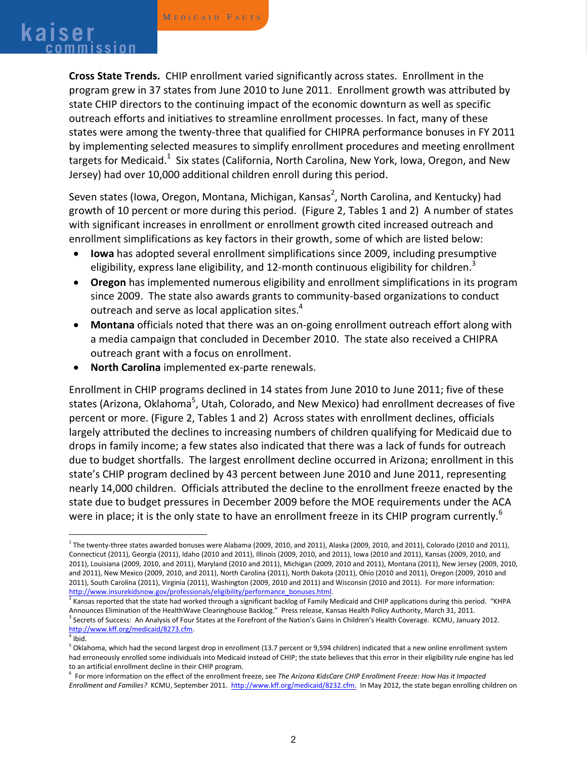# **<sup>M</sup> edicaid F acts kaiser commission**

**Cross State Trends.** CHIP enrollment varied significantly across states. Enrollment in the program grew in 37 states from June 2010 to June 2011. Enrollment growth was attributed by state CHIP directors to the continuing impact of the economic downturn as well as specific outreach efforts and initiatives to streamline enrollment processes. In fact, many of these states were among the twenty-three that qualified for CHIPRA performance bonuses in FY 2011 by implementing selected measures to simplify enrollment procedures and meeting enrollment targets for Medicaid. $^1\,$  Six states (California, North Carolina, New York, Iowa, Oregon, and New Jersey) had over 10,000 additional children enroll during this period.

Seven states (Iowa, Oregon, Montana, Michigan, Kansas<sup>2</sup>, North Carolina, and Kentucky) had growth of 10 percent or more during this period. (Figure 2, Tables 1 and 2) A number of states with significant increases in enrollment or enrollment growth cited increased outreach and enrollment simplifications as key factors in their growth, some of which are listed below:

- **Iowa** has adopted several enrollment simplifications since 2009, including presumptive eligibility, express lane eligibility, and 12-month continuous eligibility for children.<sup>3</sup>
- **Oregon** has implemented numerous eligibility and enrollment simplifications in its program since 2009. The state also awards grants to community-based organizations to conduct outreach and serve as local application sites.<sup>4</sup>
- **Montana** officials noted that there was an on-going enrollment outreach effort along with a media campaign that concluded in December 2010. The state also received a CHIPRA outreach grant with a focus on enrollment.
- **North Carolina** implemented ex-parte renewals.

Enrollment in CHIP programs declined in 14 states from June 2010 to June 2011; five of these states (Arizona, Oklahoma<sup>5</sup>, Utah, Colorado, and New Mexico) had enrollment decreases of five percent or more. (Figure 2, Tables 1 and 2) Across states with enrollment declines, officials largely attributed the declines to increasing numbers of children qualifying for Medicaid due to drops in family income; a few states also indicated that there was a lack of funds for outreach due to budget shortfalls. The largest enrollment decline occurred in Arizona; enrollment in this state's CHIP program declined by 43 percent between June 2010 and June 2011, representing nearly 14,000 children. Officials attributed the decline to the enrollment freeze enacted by the state due to budget pressures in December 2009 before the MOE requirements under the ACA were in place; it is the only state to have an enrollment freeze in its CHIP program currently.<sup>6</sup>

 $1$  The twenty-three states awarded bonuses were Alabama (2009, 2010, and 2011), Alaska (2009, 2010, and 2011), Colorado (2010 and 2011), Connecticut (2011), Georgia (2011), Idaho (2010 and 2011), Illinois (2009, 2010, and 2011), Iowa (2010 and 2011), Kansas (2009, 2010, and 2011), Louisiana (2009, 2010, and 2011), Maryland (2010 and 2011), Michigan (2009, 2010 and 2011), Montana (2011), New Jersey (2009, 2010, and 2011), New Mexico (2009, 2010, and 2011), North Carolina (2011), North Dakota (2011), Ohio (2010 and 2011), Oregon (2009, 2010 and 2011), South Carolina (2011), Virginia (2011), Washington (2009, 2010 and 2011) and Wisconsin (2010 and 2011). For more information:

http://www.insurekidsnow.gov/professionals/eligibility/performance\_bonuses.html.<br><sup>2</sup> Kansas reported that the state had worked through a significant backlog of Family Medicaid and CHIP applications during this period. "KHP <sup>3</sup> Secrets of Success: An Analysis of Four States at the Forefront of the Nation's Gains in Children's Health Coverage. KCMU, January 2012. http://www.kff.org/medicaid/8273.cfm.

 $5$  Oklahoma, which had the second largest drop in enrollment (13.7 percent or 9,594 children) indicated that a new online enrollment system had erroneously enrolled some individuals into Medicaid instead of CHIP; the state believes that this error in their eligibility rule engine has led to an artificial enrollment decline in their CHIP program.

<sup>6</sup> For more information on the effect of the enrollment freeze, see *The Arizona KidsCare CHIP Enrollment Freeze: How Has it Impacted Enrollment and Families?* KCMU, September 2011. http://www.kff.org/medicaid/8232.cfm. In May 2012, the state began enrolling children on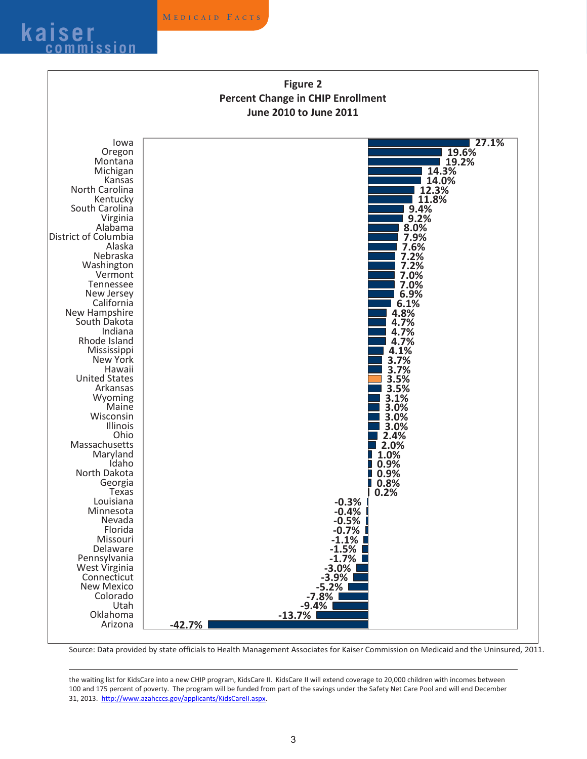

 $\overline{a}$ 



Source: Data provided by state officials to Health Management Associates for Kaiser Commission on Medicaid and the Uninsured, 2011.

the waiting list for KidsCare into a new CHIP program, KidsCare II. KidsCare II will extend coverage to 20,000 children with incomes between 100 and 175 percent of poverty. The program will be funded from part of the savings under the Safety Net Care Pool and will end December 31, 2013. http://www.azahcccs.gov/applicants/KidsCareII.aspx.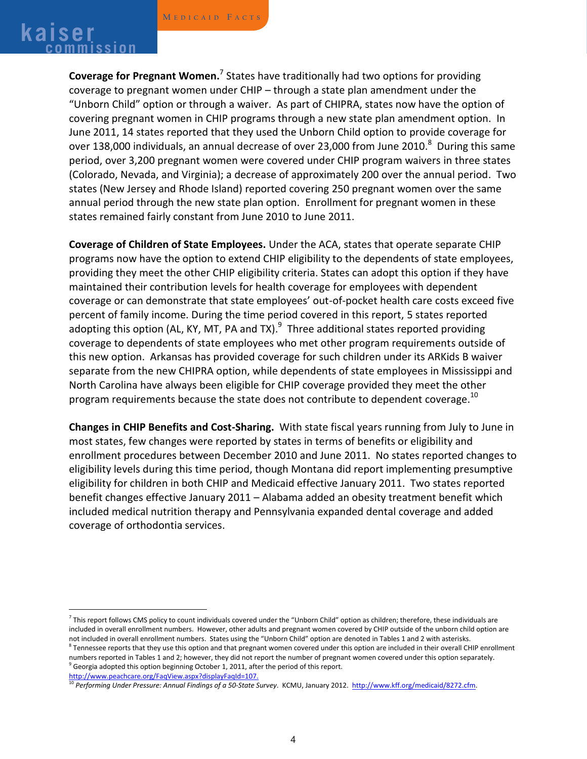# **<sup>M</sup> edicaid F acts kaiser commission**

**Coverage for Pregnant Women.**<sup>7</sup> States have traditionally had two options for providing coverage to pregnant women under CHIP – through a state plan amendment under the "Unborn Child" option or through a waiver. As part of CHIPRA, states now have the option of covering pregnant women in CHIP programs through a new state plan amendment option. In June 2011, 14 states reported that they used the Unborn Child option to provide coverage for over 138,000 individuals, an annual decrease of over 23,000 from June 2010. $^8$  During this same period, over 3,200 pregnant women were covered under CHIP program waivers in three states (Colorado, Nevada, and Virginia); a decrease of approximately 200 over the annual period. Two states (New Jersey and Rhode Island) reported covering 250 pregnant women over the same annual period through the new state plan option. Enrollment for pregnant women in these states remained fairly constant from June 2010 to June 2011.

**Coverage of Children of State Employees.** Under the ACA, states that operate separate CHIP programs now have the option to extend CHIP eligibility to the dependents of state employees, providing they meet the other CHIP eligibility criteria. States can adopt this option if they have maintained their contribution levels for health coverage for employees with dependent coverage or can demonstrate that state employees' out-of-pocket health care costs exceed five percent of family income. During the time period covered in this report, 5 states reported adopting this option (AL, KY, MT, PA and TX).<sup>9</sup> Three additional states reported providing coverage to dependents of state employees who met other program requirements outside of this new option. Arkansas has provided coverage for such children under its ARKids B waiver separate from the new CHIPRA option, while dependents of state employees in Mississippi and North Carolina have always been eligible for CHIP coverage provided they meet the other program requirements because the state does not contribute to dependent coverage. $^{10}$ 

**Changes in CHIP Benefits and Cost-Sharing.** With state fiscal years running from July to June in most states, few changes were reported by states in terms of benefits or eligibility and enrollment procedures between December 2010 and June 2011. No states reported changes to eligibility levels during this time period, though Montana did report implementing presumptive eligibility for children in both CHIP and Medicaid effective January 2011. Two states reported benefit changes effective January 2011 – Alabama added an obesity treatment benefit which included medical nutrition therapy and Pennsylvania expanded dental coverage and added coverage of orthodontia services.

http://www.peachcare.org/FaqView.aspx?displayFaqId=107.

 $<sup>7</sup>$  This report follows CMS policy to count individuals covered under the "Unborn Child" option as children; therefore, these individuals are</sup> included in overall enrollment numbers. However, other adults and pregnant women covered by CHIP outside of the unborn child option are not included in overall enrollment numbers. States using the "Unborn Child" option are denoted in Tables 1 and 2 with asterisks.<br><sup>8</sup> Tennessee reports that they use this option and that pregnant women covered under this op

numbers reported in Tables 1 and 2; however, they did not report the number of pregnant women covered under this option separately.  $9$  Georgia adopted this option beginning October 1, 2011, after the period of this report.

<sup>10</sup> *Performing Under Pressure: Annual Findings of a 50-State Survey*. KCMU, January 2012. http://www.kff.org/medicaid/8272.cfm.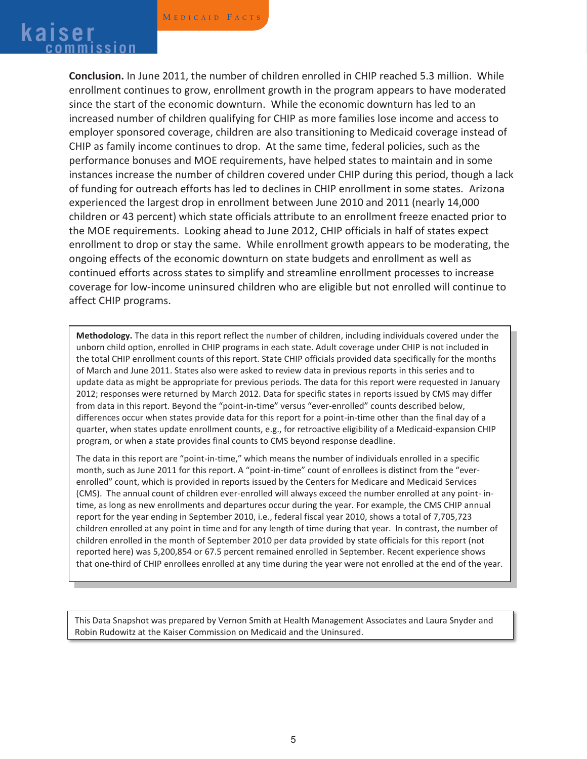# **kaiser Commission**

**Conclusion.** In June 2011, the number of children enrolled in CHIP reached 5.3 million. While enrollment continues to grow, enrollment growth in the program appears to have moderated since the start of the economic downturn. While the economic downturn has led to an increased number of children qualifying for CHIP as more families lose income and access to employer sponsored coverage, children are also transitioning to Medicaid coverage instead of CHIP as family income continues to drop. At the same time, federal policies, such as the performance bonuses and MOE requirements, have helped states to maintain and in some instances increase the number of children covered under CHIP during this period, though a lack of funding for outreach efforts has led to declines in CHIP enrollment in some states. Arizona experienced the largest drop in enrollment between June 2010 and 2011 (nearly 14,000 children or 43 percent) which state officials attribute to an enrollment freeze enacted prior to the MOE requirements. Looking ahead to June 2012, CHIP officials in half of states expect enrollment to drop or stay the same. While enrollment growth appears to be moderating, the ongoing effects of the economic downturn on state budgets and enrollment as well as continued efforts across states to simplify and streamline enrollment processes to increase coverage for low-income uninsured children who are eligible but not enrolled will continue to affect CHIP programs.

**Methodology.** The data in this report reflect the number of children, including individuals covered under the unborn child option, enrolled in CHIP programs in each state. Adult coverage under CHIP is not included in the total CHIP enrollment counts of this report. State CHIP officials provided data specifically for the months of March and June 2011. States also were asked to review data in previous reports in this series and to update data as might be appropriate for previous periods. The data for this report were requested in January 2012; responses were returned by March 2012. Data for specific states in reports issued by CMS may differ from data in this report. Beyond the "point-in-time" versus "ever-enrolled" counts described below, differences occur when states provide data for this report for a point-in-time other than the final day of a quarter, when states update enrollment counts, e.g., for retroactive eligibility of a Medicaid-expansion CHIP program, or when a state provides final counts to CMS beyond response deadline.

The data in this report are "point-in-time," which means the number of individuals enrolled in a specific month, such as June 2011 for this report. A "point-in-time" count of enrollees is distinct from the "everenrolled" count, which is provided in reports issued by the Centers for Medicare and Medicaid Services (CMS). The annual count of children ever-enrolled will always exceed the number enrolled at any point- intime, as long as new enrollments and departures occur during the year. For example, the CMS CHIP annual report for the year ending in September 2010, i.e., federal fiscal year 2010, shows a total of 7,705,723 children enrolled at any point in time and for any length of time during that year. In contrast, the number of children enrolled in the month of September 2010 per data provided by state officials for this report (not reported here) was 5,200,854 or 67.5 percent remained enrolled in September. Recent experience shows that one-third of CHIP enrollees enrolled at any time during the year were not enrolled at the end of the year.

This Data Snapshot was prepared by Vernon Smith at Health Management Associates and Laura Snyder and Robin Rudowitz at the Kaiser Commission on Medicaid and the Uninsured.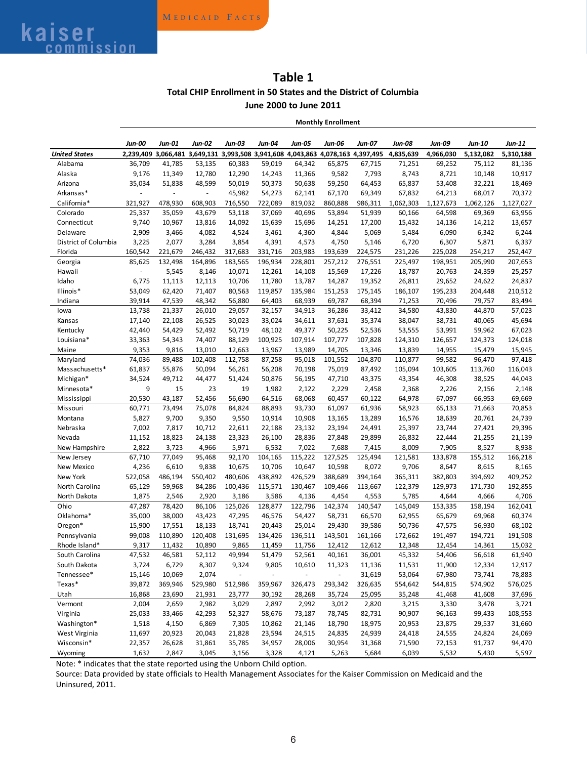### **Table 1 Total CHIP Enrollment in 50 States and the District of Columbia June 2000 to June 2011**

**Monthly Enrollment**

|                         | Jun-00           | Jun-01           | <b>Jun-02</b>    | Jun-03           | Jun-04            | <b>Jun-05</b>    | <b>Jun-06</b>                                                                   | Jun-07            | Jun-08            | <b>Jun-09</b>    | Jun-10           | Jun-11            |
|-------------------------|------------------|------------------|------------------|------------------|-------------------|------------------|---------------------------------------------------------------------------------|-------------------|-------------------|------------------|------------------|-------------------|
| <b>United States</b>    |                  |                  |                  |                  |                   |                  | 2,239,409 3,066,481 3,649,131 3,993,508 3,941,608 4,043,863 4,078,163 4,397,495 |                   | 4,835,639         | 4,966,030        | 5,132,082        | 5,310,188         |
| Alabama                 | 36,709           | 41,785           | 53,135           | 60,383           | 59,019            | 64,342           | 65,875                                                                          | 67,715            | 71,251            | 69,252           | 75,112           | 81,136            |
| Alaska                  | 9,176            | 11,349           | 12,780           | 12,290           | 14,243            | 11,366           | 9,582                                                                           | 7,793             | 8,743             | 8,721            | 10,148           | 10,917            |
| Arizona                 | 35,034           | 51,838           | 48,599           | 50,019           | 50,373            | 50,638           | 59,250                                                                          | 64,453            | 65,837            | 53,408           | 32,221           | 18,469            |
| Arkansas*               | ä,               | ÷,               |                  | 45,982           | 54,273            | 62,141           | 67,170                                                                          | 69,349            | 67,832            | 64,213           | 68,017           | 70,372            |
| California*             | 321,927          | 478,930          | 608,903          | 716,550          | 722,089           | 819,032          | 860,888                                                                         | 986,311           | 1,062,303         | 1,127,673        | 1,062,126        | 1,127,027         |
| Colorado                | 25,337           | 35,059           | 43,679           | 53,118           | 37,069            | 40,696           | 53,894                                                                          | 51,939            | 60,166            | 64,598           | 69,369           | 63,956            |
| Connecticut             | 9,740            | 10,967           | 13,816           | 14,092           | 15,639            | 15,696           | 14,251                                                                          | 17,200            | 15,432            | 14,136           | 14,212           | 13,657            |
| Delaware                | 2,909            | 3,466            | 4,082            | 4,524            | 3,461             | 4,360            | 4,844                                                                           | 5,069             | 5,484             | 6,090            | 6,342            | 6,244             |
| District of Columbia    | 3,225            | 2,077            | 3,284            | 3,854            | 4,391             | 4,573            | 4,750                                                                           | 5,146             | 6,720             | 6,307            | 5,871            | 6,337             |
| Florida                 | 160,542          | 221,679          | 246,432          | 317,683          | 331,716           | 203,983          | 193,639                                                                         | 224,575           | 231,226           | 225,028          | 254,217          | 252,447           |
| Georgia                 | 85,625           | 132,498          | 164,896          | 183,565          | 196,934           | 228,801          | 257,212                                                                         | 276,551           | 225,497           | 198,951          | 205,990          | 207,653           |
| Hawaii                  | ÷,               | 5,545            | 8,146            | 10,071           | 12,261            | 14,108           | 15,569                                                                          | 17,226            | 18,787            | 20,763           | 24,359           | 25,257            |
| Idaho                   | 6,775            | 11,113           | 12,113           | 10,706           | 11,780            | 13,787           | 14,287                                                                          | 19,352            | 26,811            | 29,652           | 24,622           | 24,837            |
| Illinois*               | 53,049           | 62,420           | 71,407           | 80,563           | 119,857           | 135,984          | 151,253                                                                         | 175,145           | 186,107           | 195,233          | 204,448          | 210,512           |
| Indiana                 | 39,914           | 47,539           | 48,342           | 56,880           | 64,403            | 68,939           | 69,787                                                                          | 68,394            | 71,253            | 70,496           | 79,757           | 83,494            |
| lowa                    | 13,738           | 21,337           | 26,010           | 29,057           | 32,157            | 34,913           | 36,286                                                                          | 33,412            | 34,580            | 43,830           | 44,870           | 57,023            |
| Kansas                  | 17,140           | 22,108           | 26,525           | 30,023           | 33,024            | 34,611           | 37,631                                                                          | 35,374            | 38,047            | 38,731           | 40,065           | 45,694            |
| Kentucky                | 42,440           | 54,429           | 52,492           | 50,719           | 48,102            | 49,377           | 50,225                                                                          | 52,536            | 53,555            | 53,991           | 59,962           | 67,023            |
| Louisiana*              | 33,363           | 54,343           | 74,407           | 88,129           | 100,925           | 107,914          | 107,777                                                                         | 107,828           | 124,310           | 126,657          | 124,373          | 124,018           |
| Maine                   | 9,353            | 9,816            | 13,010           | 12,663           | 13,967            | 13,989           | 14,705                                                                          | 13,346            | 13,839            | 14,955           | 15,479           | 15,945            |
| Maryland                | 74,036           | 89,488           | 102,408          | 112,758          | 87,258            | 95,018           | 101,552                                                                         | 104,870           | 110,877           | 99,582           | 96,470           | 97,418            |
| Massachusetts*          | 61,837           | 55,876           | 50,094           | 56,261           | 56,208            | 70,198           | 75,019                                                                          | 87,492            | 105,094           | 103,605          | 113,760          | 116,043           |
| Michigan*               | 34,524           | 49,712           | 44,477           | 51,424           | 50,876            | 56,195           | 47,710                                                                          | 43,375            | 43,354            | 46,308           | 38,525           | 44,043            |
| Minnesota*              | 9                | 15               | 23               | 19               | 1,982             | 2,122            | 2,229                                                                           |                   |                   |                  | 2,156            | 2,148             |
|                         |                  |                  |                  |                  |                   |                  |                                                                                 | 2,458             | 2,368             | 2,226            |                  |                   |
| Mississippi             | 20,530<br>60,771 | 43,187<br>73,494 | 52,456<br>75,078 | 56,690<br>84,824 | 64,516<br>88,893  | 68,068<br>93,730 | 60,457<br>61,097                                                                | 60,122<br>61,936  | 64,978<br>58,923  | 67,097<br>65,133 | 66,953<br>71,663 | 69,669<br>70,853  |
| Missouri<br>Montana     | 5,827            | 9,700            | 9,350            | 9,550            | 10,914            | 10,908           | 13,165                                                                          | 13,289            | 16,576            | 18,639           | 20,761           | 24,739            |
|                         |                  |                  |                  |                  |                   |                  |                                                                                 |                   |                   |                  |                  |                   |
| Nebraska                | 7,002            | 7,817<br>18,823  | 10,712           | 22,611           | 22,188            | 23,132           | 23,194                                                                          | 24,491<br>29,899  | 25,397<br>26,832  | 23,744           | 27,421           | 29,396            |
| Nevada<br>New Hampshire | 11,152<br>2,822  | 3,723            | 24,138<br>4,966  | 23,323<br>5,971  | 26,100<br>6,532   | 28,836<br>7,022  | 27,848<br>7,688                                                                 | 7,415             | 8,009             | 22,444<br>7,905  | 21,255<br>8,527  | 21,139<br>8,938   |
| New Jersey              | 67,710           | 77,049           | 95,468           | 92,170           | 104,165           | 115,222          | 127,525                                                                         | 125,494           | 121,581           | 133,878          | 155,512          | 166,218           |
| New Mexico              | 4,236            | 6,610            | 9,838            | 10,675           | 10,706            | 10,647           | 10,598                                                                          | 8,072             | 9,706             | 8,647            | 8,615            | 8,165             |
| New York                | 522,058          |                  | 550,402          | 480,606          | 438,892           | 426,529          | 388,689                                                                         |                   |                   |                  | 394,692          | 409,252           |
|                         |                  | 486,194          |                  |                  |                   |                  |                                                                                 | 394,164           | 365,311           | 382,803          |                  |                   |
| North Carolina          | 65,129           | 59,968           | 84,286           | 100,436          | 115,571           | 130,467          | 109,466                                                                         | 113,667           | 122,379           | 129,973          | 171,730          | 192,855           |
| North Dakota            | 1,875            | 2,546            | 2,920            | 3,186            | 3,586             | 4,136            | 4,454                                                                           | 4,553             | 5,785             | 4,644            | 4,666            | 4,706             |
| Ohio<br>Oklahoma*       | 47,287<br>35,000 | 78,420           | 86,106           | 125,026          | 128,877<br>46,576 | 122,796          | 142,374                                                                         | 140,547<br>66,570 | 145,049<br>62,955 | 153,335          | 158,194          | 162,041<br>60,374 |
|                         |                  | 38,000           | 43,423           | 47,295           |                   | 54,427           | 58,731                                                                          |                   |                   | 65,679           | 69,968           |                   |
| Oregon*                 | 15,900           | 17,551           | 18,133           | 18,741           | 20,443            | 25,014           | 29,430                                                                          | 39,586            | 50,736            | 47,575           | 56,930           | 68,102            |
| Pennsylvania            | 99,008           | 110,890          | 120,408          | 131,695          | 134,426           | 136,511          | 143,501                                                                         | 161,166           | 172,662           | 191,497          | 194,721          | 191,508           |
| Rhode Island*           | 9,317            | 11,432           | 10,890           | 9,865            | 11,459            | 11,756           | 12,412                                                                          | 12,612            | 12,348            | 12,454           | 14,361           | 15,032            |
| South Carolina          | 47,532           | 46,581           | 52,112           | 49,994           | 51,479            | 52,561           | 40,161                                                                          | 36,001            | 45,332            | 54,406           | 56,618           | 61,940            |
| South Dakota            | 3,724            | 6,729            | 8,307            | 9,324            | 9,805             | 10,610           | 11,323                                                                          | 11,136            | 11,531            | 11,900           | 12,334           | 12,917            |
| Tennessee*              | 15,146           | 10,069           | 2,074            |                  |                   |                  |                                                                                 | 31,619            | 53,064            | 67,980           | 73,741           | 78,883            |
| Texas*                  | 39,872           | 369,946          | 529,980          | 512,986          | 359,967           | 326,473          | 293,342                                                                         | 326,635           | 554,642           | 544,815          | 574,902          | 576,025           |
| Utah                    | 16,868           | 23,690           | 21,931           | 23,777           | 30,192            | 28,268           | 35,724                                                                          | 25,095            | 35,248            | 41,468           | 41,608           | 37,696            |
| Vermont                 | 2,004            | 2,659            | 2,982            | 3,029            | 2,897             | 2,992            | 3,012                                                                           | 2,820             | 3,215             | 3,330            | 3,478            | 3,721             |
| Virginia                | 25,033           | 33,466           | 42,293           | 52,327           | 58,676            | 73,187           | 78,745                                                                          | 82,731            | 90,907            | 96,163           | 99,433           | 108,553           |
| Washington*             | 1,518            | 4,150            | 6,869            | 7,305            | 10,862            | 21,146           | 18,790                                                                          | 18,975            | 20,953            | 23,875           | 29,537           | 31,660            |
| West Virginia           | 11,697           | 20,923           | 20,043           | 21,828           | 23,594            | 24,515           | 24,835                                                                          | 24,939            | 24,418            | 24,555           | 24,824           | 24,069            |
| Wisconsin*              | 22,357           | 26,628           | 31,861           | 35,785           | 34,957            | 28,006           | 30,954                                                                          | 31,368            | 71,590            | 72,153           | 91,737           | 94,470            |
| Wyoming                 | 1,632            | 2,847            | 3,045            | 3,156            | 3,328             | 4,121            | 5,263                                                                           | 5,684             | 6,039             | 5,532            | 5,430            | 5,597             |

Note: \* indicates that the state reported using the Unborn Child option.

Source: Data provided by state officials to Health Management Associates for the Kaiser Commission on Medicaid and the Uninsured, 2011.